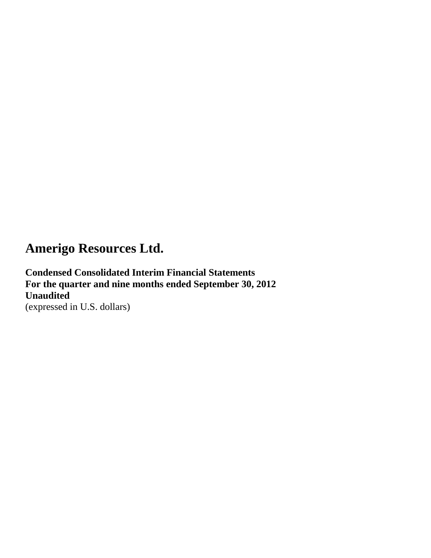**Condensed Consolidated Interim Financial Statements For the quarter and nine months ended September 30, 2012 Unaudited** (expressed in U.S. dollars)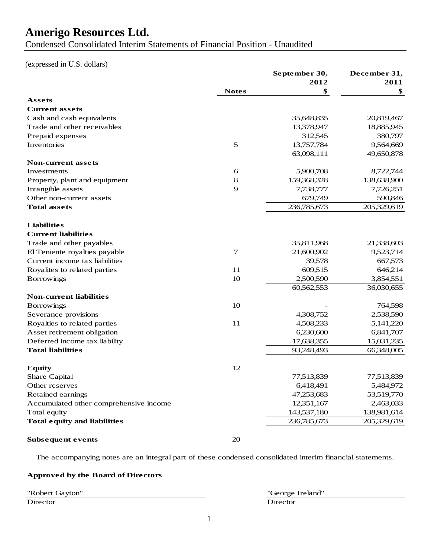Condensed Consolidated Interim Statements of Financial Position - Unaudited

### (expressed in U.S. dollars)

|                                        |               | September 30, | December 31, |
|----------------------------------------|---------------|---------------|--------------|
|                                        | <b>Notes</b>  | 2012<br>\$    | 2011<br>\$   |
| Assets                                 |               |               |              |
| <b>Current assets</b>                  |               |               |              |
| Cash and cash equivalents              |               | 35,648,835    | 20,819,467   |
| Trade and other receivables            |               | 13,378,947    | 18,885,945   |
| Prepaid expenses                       |               | 312,545       | 380,797      |
| Inventories                            | $\mathfrak s$ | 13,757,784    | 9,564,669    |
|                                        |               |               |              |
| Non-current assets                     |               | 63,098,111    | 49,650,878   |
| Investments                            | 6             | 5,900,708     | 8,722,744    |
| Property, plant and equipment          | 8             | 159,368,328   | 138,638,900  |
| Intangible assets                      | 9             | 7,738,777     | 7,726,251    |
| Other non-current assets               |               | 679,749       | 590,846      |
| <b>Total assets</b>                    |               | 236,785,673   | 205,329,619  |
|                                        |               |               |              |
| <b>Liabilities</b>                     |               |               |              |
| <b>Current liabilities</b>             |               |               |              |
| Trade and other payables               |               | 35,811,968    | 21,338,603   |
| El Teniente royalties payable          | 7             | 21,600,902    | 9,523,714    |
| Current income tax liabilities         |               | 39,578        | 667,573      |
| Royalites to related parties           | 11            | 609,515       | 646,214      |
| <b>Borrowings</b>                      | 10            | 2,500,590     | 3,854,551    |
|                                        |               | 60,562,553    | 36,030,655   |
| <b>Non-current liabilities</b>         |               |               |              |
| <b>Borrowings</b>                      | 10            |               | 764,598      |
| Severance provisions                   |               | 4,308,752     | 2,538,590    |
| Royalties to related parties           | 11            | 4,508,233     | 5,141,220    |
| Asset retirement obligation            |               | 6,230,600     | 6,841,707    |
| Deferred income tax liability          |               | 17,638,355    | 15,031,235   |
| <b>Total liabilities</b>               |               | 93,248,493    | 66,348,005   |
|                                        |               |               |              |
| <b>Equity</b>                          | 12            |               |              |
| Share Capital                          |               | 77,513,839    | 77,513,839   |
| Other reserves                         |               | 6,418,491     | 5,484,972    |
| Retained earnings                      |               | 47,253,683    | 53,519,770   |
| Accumulated other comprehensive income |               | 12,351,167    | 2,463,033    |
| Total equity                           |               | 143,537,180   | 138,981,614  |
| <b>Total equity and liabilities</b>    |               | 236,785,673   | 205,329,619  |
| Subsequent events                      | 20            |               |              |

The accompanying notes are an integral part of these condensed consolidated interim financial statements.

### **Approved by the Board of Directors**

"Robert Gayton" "George Ireland" Director Director Director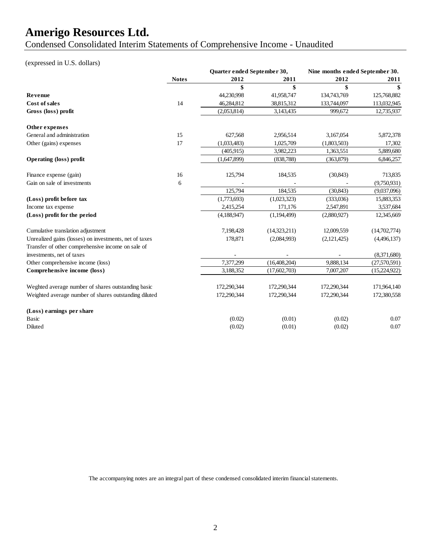Condensed Consolidated Interim Statements of Comprehensive Income - Unaudited

### (expressed in U.S. dollars)

|                                                        |              | Quarter ended September 30, |              | Nine months ended September 30. |              |
|--------------------------------------------------------|--------------|-----------------------------|--------------|---------------------------------|--------------|
|                                                        | <b>Notes</b> | 2012                        | 2011         | 2012                            | 2011         |
|                                                        |              | \$                          | \$           | \$                              | \$           |
| Revenue                                                |              | 44,230,998                  | 41,958,747   | 134,743,769                     | 125,768,882  |
| Cost of sales                                          | 14           | 46,284,812                  | 38,815,312   | 133,744,097                     | 113,032,945  |
| Gross (loss) profit                                    |              | (2,053,814)                 | 3,143,435    | 999,672                         | 12,735,937   |
| Other expenses                                         |              |                             |              |                                 |              |
| General and administration                             | 15           | 627,568                     | 2,956,514    | 3,167,054                       | 5,872,378    |
| Other (gains) expenses                                 | 17           | (1,033,483)                 | 1,025,709    | (1,803,503)                     | 17,302       |
|                                                        |              | (405,915)                   | 3,982,223    | 1,363,551                       | 5,889,680    |
| <b>Operating (loss) profit</b>                         |              | (1,647,899)                 | (838, 788)   | (363,879)                       | 6,846,257    |
| Finance expense (gain)                                 | 16           | 125,794                     | 184,535      | (30, 843)                       | 713,835      |
| Gain on sale of investments                            | 6            |                             |              |                                 | (9,750,931)  |
|                                                        |              | 125,794                     | 184,535      | (30, 843)                       | (9,037,096)  |
| (Loss) profit before tax                               |              | (1,773,693)                 | (1,023,323)  | (333,036)                       | 15,883,353   |
| Income tax expense                                     |              | 2,415,254                   | 171,176      | 2,547,891                       | 3,537,684    |
| (Loss) profit for the period                           |              | (4,188,947)                 | (1,194,499)  | (2,880,927)                     | 12,345,669   |
| Cumulative translation adjustment                      |              | 7,198,428                   | (14,323,211) | 12,009,559                      | (14,702,774) |
| Unrealized gains (losses) on investments, net of taxes |              | 178,871                     | (2,084,993)  | (2,121,425)                     | (4,496,137)  |
| Transfer of other comprehensive income on sale of      |              |                             |              |                                 |              |
| investments, net of taxes                              |              |                             |              |                                 | (8,371,680)  |
| Other comprehensive income (loss)                      |              | 7,377,299                   | (16,408,204) | 9,888,134                       | (27,570,591) |
| Comprehensive income (loss)                            |              | 3,188,352                   | (17,602,703) | 7,007,207                       | (15,224,922) |
| Weghted average number of shares outstanding basic     |              | 172,290,344                 | 172,290,344  | 172,290,344                     | 171,964,140  |
| Weighted average number of shares outstanding diluted  |              | 172,290,344                 | 172,290,344  | 172,290,344                     | 172,380,558  |
| (Loss) earnings per share                              |              |                             |              |                                 |              |
| <b>Basic</b>                                           |              | (0.02)                      | (0.01)       | (0.02)                          | 0.07         |
| Diluted                                                |              | (0.02)                      | (0.01)       | (0.02)                          | 0.07         |

The accompanying notes are an integral part of these condensed consolidated interim financial statements.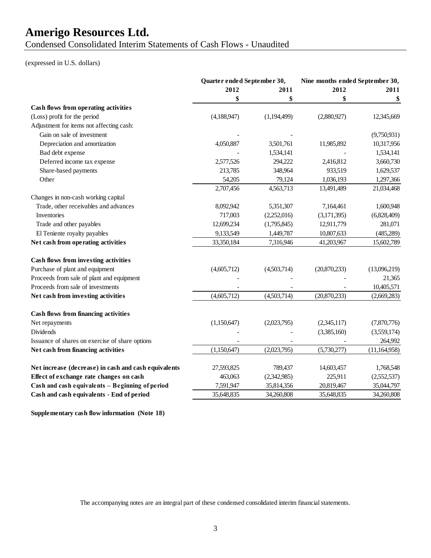Condensed Consolidated Interim Statements of Cash Flows - Unaudited

### (expressed in U.S. dollars)

|                                                      | Quarter ended September 30, |             | Nine months ended September 30, |                |
|------------------------------------------------------|-----------------------------|-------------|---------------------------------|----------------|
|                                                      | 2012<br>2011                |             | 2012                            | 2011           |
|                                                      | \$                          | \$          | \$                              | \$             |
| Cash flows from operating activities                 |                             |             |                                 |                |
| (Loss) profit for the period                         | (4,188,947)                 | (1,194,499) | (2,880,927)                     | 12,345,669     |
| Adjustment for items not affecting cash:             |                             |             |                                 |                |
| Gain on sale of investment                           |                             |             |                                 | (9,750,931)    |
| Depreciation and amortization                        | 4,050,887                   | 3,501,761   | 11,985,892                      | 10,317,956     |
| Bad debt expense                                     |                             | 1,534,141   |                                 | 1,534,141      |
| Deferred income tax expense                          | 2,577,526                   | 294,222     | 2,416,812                       | 3,660,730      |
| Share-based payments                                 | 213,785                     | 348,964     | 933,519                         | 1,629,537      |
| Other                                                | 54,205                      | 79,124      | 1,036,193                       | 1,297,366      |
|                                                      | 2,707,456                   | 4,563,713   | 13,491,489                      | 21,034,468     |
| Changes in non-cash working capital                  |                             |             |                                 |                |
| Trade, other receivables and advances                | 8,092,942                   | 5,351,307   | 7,164,461                       | 1,600,948      |
| Inventories                                          | 717,003                     | (2,252,016) | (3,171,395)                     | (6,828,409)    |
| Trade and other payables                             | 12,699,234                  | (1,795,845) | 12,911,779                      | 281,071        |
| El Teniente royalty payables                         | 9,133,549                   | 1,449,787   | 10,807,633                      | (485, 289)     |
| Net cash from operating activities                   | 33,350,184                  | 7,316,946   | 41,203,967                      | 15,602,789     |
| Cash flows from investing activities                 |                             |             |                                 |                |
| Purchase of plant and equipment                      | (4,605,712)                 | (4,503,714) | (20,870,233)                    | (13,096,219)   |
| Proceeds from sale of plant and equipment            |                             |             |                                 | 21,365         |
| Proceeds from sale of investments                    |                             |             |                                 | 10,405,571     |
| Net cash from investing activities                   | (4,605,712)                 | (4,503,714) | (20,870,233)                    | (2,669,283)    |
| <b>Cash flows from financing activities</b>          |                             |             |                                 |                |
| Net repayments                                       | (1,150,647)                 | (2,023,795) | (2,345,117)                     | (7,870,776)    |
| <b>Dividends</b>                                     |                             |             | (3,385,160)                     | (3,559,174)    |
| Issuance of shares on exercise of share options      |                             |             |                                 | 264,992        |
| Net cash from financing activities                   | (1,150,647)                 | (2,023,795) | (5,730,277)                     | (11, 164, 958) |
| Net increase (decrease) in cash and cash equivalents | 27,593,825                  | 789,437     | 14,603,457                      | 1,768,548      |
| Effect of exchange rate changes on cash              | 463,063                     | (2,342,985) | 225,911                         | (2,552,537)    |
| Cash and cash equivalents - Beginning of period      | 7,591,947                   | 35,814,356  | 20,819,467                      | 35,044,797     |
| Cash and cash equivalents - End of period            | 35,648,835                  | 34,260,808  | 35,648,835                      | 34,260,808     |
|                                                      |                             |             |                                 |                |

**Supplementary cash flow information (Note 18)**

The accompanying notes are an integral part of these condensed consolidated interim financial statements.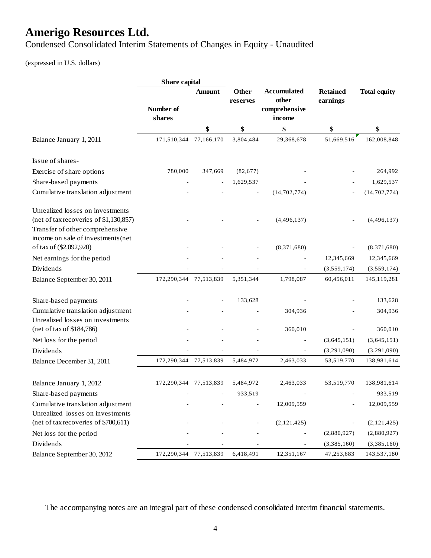Condensed Consolidated Interim Statements of Changes in Equity - Unaudited

## (expressed in U.S. dollars)

|                                                                            | Share capital          |         |                   |                             |                             |                     |
|----------------------------------------------------------------------------|------------------------|---------|-------------------|-----------------------------|-----------------------------|---------------------|
|                                                                            |                        | Amount  | Other<br>reserves | <b>Accumulated</b><br>other | <b>Retained</b><br>earnings | <b>Total equity</b> |
|                                                                            | Number of<br>shares    |         |                   | comprehensive<br>income     |                             |                     |
|                                                                            |                        | \$      | \$                | \$                          | \$                          | \$                  |
| Balance January 1, 2011                                                    | 171,510,344 77,166,170 |         | 3,804,484         | 29,368,678                  | 51,669,516                  | 162,008,848         |
|                                                                            |                        |         |                   |                             |                             |                     |
| Issue of shares-                                                           |                        |         |                   |                             |                             |                     |
| Exercise of share options                                                  | 780,000                | 347,669 | (82,677)          |                             |                             | 264,992             |
| Share-based payments                                                       |                        |         | 1,629,537         |                             |                             | 1,629,537           |
| Cumulative translation adjustment                                          |                        |         |                   | (14, 702, 774)              |                             | (14, 702, 774)      |
| Unrealized losses on investments<br>(net of tax recoveries of \$1,130,857) |                        |         |                   | (4,496,137)                 |                             | (4,496,137)         |
| Transfer of other comprehensive<br>income on sale of investments (net      |                        |         |                   |                             |                             |                     |
| of tax of (\$2,092,920)                                                    |                        |         |                   | (8,371,680)                 |                             | (8,371,680)         |
| Net earnings for the period                                                |                        |         |                   |                             | 12,345,669                  | 12,345,669          |
| Dividends                                                                  |                        |         |                   |                             | (3,559,174)                 | (3,559,174)         |
| Balance September 30, 2011                                                 | 172,290,344 77,513,839 |         | 5,351,344         | 1,798,087                   | 60,456,011                  | 145,119,281         |
| Share-based payments                                                       |                        |         | 133,628           |                             |                             | 133,628             |
| Cumulative translation adjustment                                          |                        |         |                   | 304,936                     |                             | 304,936             |
| Unrealized losses on investments                                           |                        |         |                   |                             |                             |                     |
| (net of tax of \$184,786)                                                  |                        |         |                   | 360,010                     |                             | 360,010             |
| Net loss for the period                                                    |                        |         |                   |                             | (3,645,151)                 | (3,645,151)         |
| Dividends                                                                  |                        |         |                   |                             | (3,291,090)                 | (3,291,090)         |
| Balance December 31, 2011                                                  | 172,290,344 77,513,839 |         | 5,484,972         | 2,463,033                   | 53,519,770                  | 138,981,614         |
| Balance January 1, 2012                                                    | 172,290,344 77,513,839 |         | 5,484,972         | 2,463,033                   | 53,519,770                  | 138,981,614         |
| Share-based payments                                                       |                        |         | 933,519           |                             |                             | 933,519             |
|                                                                            |                        |         |                   | 12,009,559                  |                             | 12,009,559          |
| Cumulative translation adjustment<br>Unrealized losses on investments      |                        |         |                   |                             |                             |                     |
| (net of tax recoveries of \$700,611)                                       |                        |         |                   | (2, 121, 425)               |                             | (2,121,425)         |
| Net loss for the period                                                    |                        |         |                   |                             | (2,880,927)                 | (2,880,927)         |
| Dividends                                                                  |                        |         |                   |                             | (3,385,160)                 | (3,385,160)         |
| Balance September 30, 2012                                                 | 172,290,344 77,513,839 |         | 6,418,491         | 12,351,167                  | 47,253,683                  | 143,537,180         |

The accompanying notes are an integral part of these condensed consolidated interim financial statements.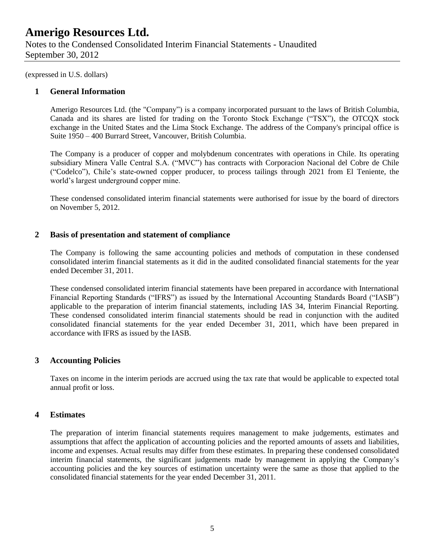(expressed in U.S. dollars)

### **1 General Information**

Amerigo Resources Ltd. (the "Company") is a company incorporated pursuant to the laws of British Columbia, Canada and its shares are listed for trading on the Toronto Stock Exchange ("TSX"), the OTCQX stock exchange in the United States and the Lima Stock Exchange. The address of the Company's principal office is Suite 1950 – 400 Burrard Street, Vancouver, British Columbia.

The Company is a producer of copper and molybdenum concentrates with operations in Chile. Its operating subsidiary Minera Valle Central S.A. ("MVC") has contracts with Corporacion Nacional del Cobre de Chile ("Codelco"), Chile's state-owned copper producer, to process tailings through 2021 from El Teniente, the world's largest underground copper mine.

These condensed consolidated interim financial statements were authorised for issue by the board of directors on November 5, 2012.

### **2 Basis of presentation and statement of compliance**

The Company is following the same accounting policies and methods of computation in these condensed consolidated interim financial statements as it did in the audited consolidated financial statements for the year ended December 31, 2011.

These condensed consolidated interim financial statements have been prepared in accordance with International Financial Reporting Standards ("IFRS") as issued by the International Accounting Standards Board ("IASB") applicable to the preparation of interim financial statements, including IAS 34, Interim Financial Reporting. These condensed consolidated interim financial statements should be read in conjunction with the audited consolidated financial statements for the year ended December 31, 2011, which have been prepared in accordance with IFRS as issued by the IASB.

### **3 Accounting Policies**

Taxes on income in the interim periods are accrued using the tax rate that would be applicable to expected total annual profit or loss.

### **4 Estimates**

The preparation of interim financial statements requires management to make judgements, estimates and assumptions that affect the application of accounting policies and the reported amounts of assets and liabilities, income and expenses. Actual results may differ from these estimates. In preparing these condensed consolidated interim financial statements, the significant judgements made by management in applying the Company's accounting policies and the key sources of estimation uncertainty were the same as those that applied to the consolidated financial statements for the year ended December 31, 2011.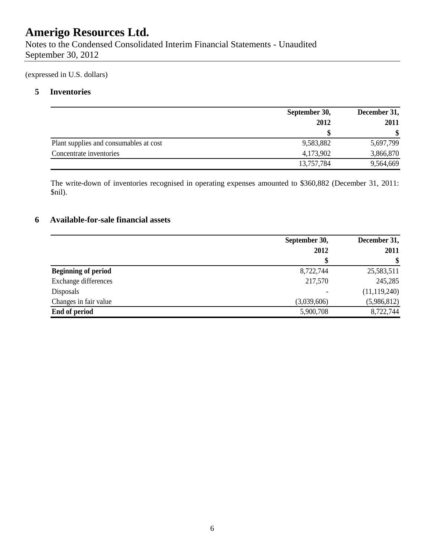Notes to the Condensed Consolidated Interim Financial Statements - Unaudited September 30, 2012

(expressed in U.S. dollars)

## **5 Inventories**

|                                        | September 30, | December 31,  |
|----------------------------------------|---------------|---------------|
|                                        | 2012          | 2011          |
|                                        |               | <sup>\$</sup> |
| Plant supplies and consumables at cost | 9,583,882     | 5,697,799     |
| Concentrate inventories                | 4,173,902     | 3,866,870     |
|                                        | 13,757,784    | 9,564,669     |

The write-down of inventories recognised in operating expenses amounted to \$360,882 (December 31, 2011: \$nil).

## **6 Available-for-sale financial assets**

|                            | September 30, | December 31,   |  |
|----------------------------|---------------|----------------|--|
|                            | 2012          | 2011           |  |
|                            |               | $\mathbf{\$}$  |  |
| <b>Beginning of period</b> | 8,722,744     | 25,583,511     |  |
| Exchange differences       | 217,570       | 245,285        |  |
| Disposals                  |               | (11, 119, 240) |  |
| Changes in fair value      | (3,039,606)   | (5,986,812)    |  |
| End of period              | 5,900,708     | 8,722,744      |  |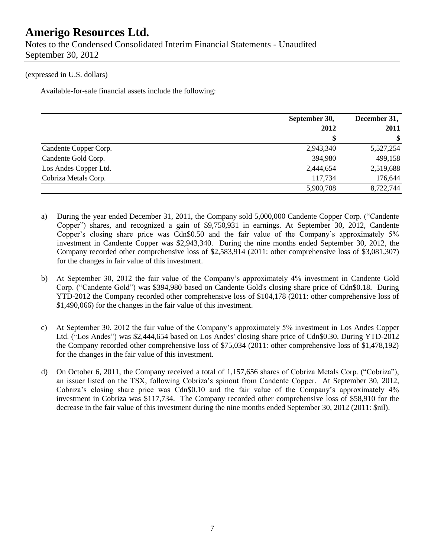Notes to the Condensed Consolidated Interim Financial Statements - Unaudited September 30, 2012

#### (expressed in U.S. dollars)

Available-for-sale financial assets include the following:

|                       | September 30, | December 31, |  |
|-----------------------|---------------|--------------|--|
|                       | 2012          | 2011         |  |
|                       | \$            | \$           |  |
| Candente Copper Corp. | 2,943,340     | 5,527,254    |  |
| Candente Gold Corp.   | 394,980       | 499,158      |  |
| Los Andes Copper Ltd. | 2,444,654     | 2,519,688    |  |
| Cobriza Metals Corp.  | 117,734       | 176,644      |  |
|                       | 5,900,708     | 8,722,744    |  |

- a) During the year ended December 31, 2011, the Company sold 5,000,000 Candente Copper Corp. ("Candente Copper") shares, and recognized a gain of \$9,750,931 in earnings. At September 30, 2012, Candente Copper's closing share price was Cdn\$0.50 and the fair value of the Company's approximately 5% investment in Candente Copper was \$2,943,340. During the nine months ended September 30, 2012, the Company recorded other comprehensive loss of \$2,583,914 (2011: other comprehensive loss of \$3,081,307) for the changes in fair value of this investment.
- b) At September 30, 2012 the fair value of the Company's approximately 4% investment in Candente Gold Corp. ("Candente Gold") was \$394,980 based on Candente Gold's closing share price of Cdn\$0.18. During YTD-2012 the Company recorded other comprehensive loss of \$104,178 (2011: other comprehensive loss of \$1,490,066) for the changes in the fair value of this investment.
- c) At September 30, 2012 the fair value of the Company's approximately 5% investment in Los Andes Copper Ltd. ("Los Andes") was \$2,444,654 based on Los Andes' closing share price of Cdn\$0.30. During YTD-2012 the Company recorded other comprehensive loss of \$75,034 (2011: other comprehensive loss of \$1,478,192) for the changes in the fair value of this investment.
- d) On October 6, 2011, the Company received a total of 1,157,656 shares of Cobriza Metals Corp. ("Cobriza"), an issuer listed on the TSX, following Cobriza's spinout from Candente Copper. At September 30, 2012, Cobriza's closing share price was Cdn\$0.10 and the fair value of the Company's approximately 4% investment in Cobriza was \$117,734. The Company recorded other comprehensive loss of \$58,910 for the decrease in the fair value of this investment during the nine months ended September 30, 2012 (2011: \$nil).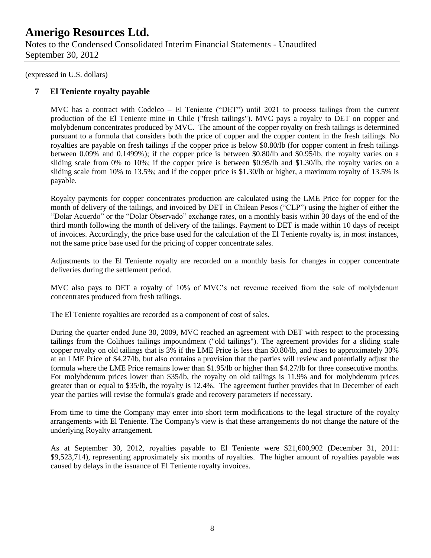September 30, 2012

(expressed in U.S. dollars)

### **7 El Teniente royalty payable**

MVC has a contract with Codelco – El Teniente ("DET") until 2021 to process tailings from the current production of the El Teniente mine in Chile ("fresh tailings"). MVC pays a royalty to DET on copper and molybdenum concentrates produced by MVC. The amount of the copper royalty on fresh tailings is determined pursuant to a formula that considers both the price of copper and the copper content in the fresh tailings. No royalties are payable on fresh tailings if the copper price is below \$0.80/lb (for copper content in fresh tailings between 0.09% and 0.1499%); if the copper price is between \$0.80/lb and \$0.95/lb, the royalty varies on a sliding scale from 0% to 10%; if the copper price is between \$0.95/lb and \$1.30/lb, the royalty varies on a sliding scale from 10% to 13.5%; and if the copper price is \$1.30/lb or higher, a maximum royalty of 13.5% is payable.

Royalty payments for copper concentrates production are calculated using the LME Price for copper for the month of delivery of the tailings, and invoiced by DET in Chilean Pesos ("CLP") using the higher of either the "Dolar Acuerdo" or the "Dolar Observado" exchange rates, on a monthly basis within 30 days of the end of the third month following the month of delivery of the tailings. Payment to DET is made within 10 days of receipt of invoices. Accordingly, the price base used for the calculation of the El Teniente royalty is, in most instances, not the same price base used for the pricing of copper concentrate sales.

Adjustments to the El Teniente royalty are recorded on a monthly basis for changes in copper concentrate deliveries during the settlement period.

MVC also pays to DET a royalty of 10% of MVC's net revenue received from the sale of molybdenum concentrates produced from fresh tailings.

The El Teniente royalties are recorded as a component of cost of sales.

During the quarter ended June 30, 2009, MVC reached an agreement with DET with respect to the processing tailings from the Colihues tailings impoundment ("old tailings"). The agreement provides for a sliding scale copper royalty on old tailings that is 3% if the LME Price is less than \$0.80/lb, and rises to approximately 30% at an LME Price of \$4.27/lb, but also contains a provision that the parties will review and potentially adjust the formula where the LME Price remains lower than \$1.95/lb or higher than \$4.27/lb for three consecutive months. For molybdenum prices lower than \$35/lb, the royalty on old tailings is 11.9% and for molybdenum prices greater than or equal to \$35/lb, the royalty is 12.4%. The agreement further provides that in December of each year the parties will revise the formula's grade and recovery parameters if necessary.

From time to time the Company may enter into short term modifications to the legal structure of the royalty arrangements with El Teniente. The Company's view is that these arrangements do not change the nature of the underlying Royalty arrangement.

As at September 30, 2012, royalties payable to El Teniente were \$21,600,902 (December 31, 2011: \$9,523,714), representing approximately six months of royalties. The higher amount of royalties payable was caused by delays in the issuance of El Teniente royalty invoices.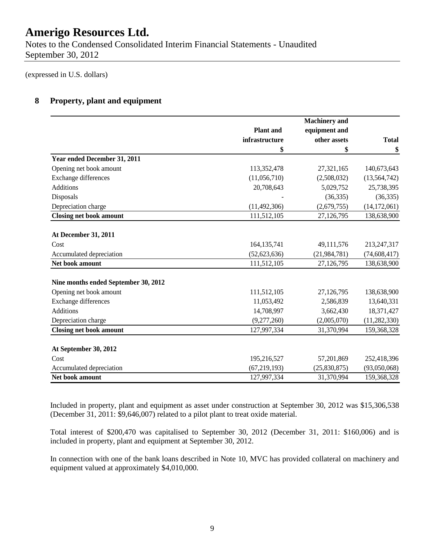Notes to the Condensed Consolidated Interim Financial Statements - Unaudited September 30, 2012

(expressed in U.S. dollars)

### **8 Property, plant and equipment**

|                                      |                  | <b>Machinery</b> and |                |
|--------------------------------------|------------------|----------------------|----------------|
|                                      | <b>Plant</b> and | equipment and        |                |
|                                      | infrastructure   | other assets         | <b>Total</b>   |
|                                      | \$               | \$                   | \$             |
| Year ended December 31, 2011         |                  |                      |                |
| Opening net book amount              | 113,352,478      | 27,321,165           | 140,673,643    |
| Exchange differences                 | (11,056,710)     | (2,508,032)          | (13, 564, 742) |
| <b>Additions</b>                     | 20,708,643       | 5,029,752            | 25,738,395     |
| Disposals                            |                  | (36, 335)            | (36, 335)      |
| Depreciation charge                  | (11, 492, 306)   | (2,679,755)          | (14, 172, 061) |
| <b>Closing net book amount</b>       | 111,512,105      | 27,126,795           | 138,638,900    |
| <b>At December 31, 2011</b>          |                  |                      |                |
| Cost                                 | 164, 135, 741    | 49,111,576           | 213,247,317    |
| Accumulated depreciation             | (52, 623, 636)   | (21, 984, 781)       | (74, 608, 417) |
| Net book amount                      | 111,512,105      | 27,126,795           | 138,638,900    |
|                                      |                  |                      |                |
| Nine months ended September 30, 2012 |                  |                      |                |
| Opening net book amount              | 111,512,105      | 27,126,795           | 138,638,900    |
| Exchange differences                 | 11,053,492       | 2,586,839            | 13,640,331     |
| <b>Additions</b>                     | 14,708,997       | 3,662,430            | 18,371,427     |
| Depreciation charge                  | (9,277,260)      | (2,005,070)          | (11, 282, 330) |
| <b>Closing net book amount</b>       | 127,997,334      | 31,370,994           | 159,368,328    |
|                                      |                  |                      |                |
| At September 30, 2012                |                  |                      |                |
| Cost                                 | 195,216,527      | 57,201,869           | 252,418,396    |
| Accumulated depreciation             | (67, 219, 193)   | (25,830,875)         | (93,050,068)   |
| Net book amount                      | 127,997,334      | 31,370,994           | 159,368,328    |

Included in property, plant and equipment as asset under construction at September 30, 2012 was \$15,306,538 (December 31, 2011: \$9,646,007) related to a pilot plant to treat oxide material.

Total interest of \$200,470 was capitalised to September 30, 2012 (December 31, 2011: \$160,006) and is included in property, plant and equipment at September 30, 2012.

In connection with one of the bank loans described in Note 10, MVC has provided collateral on machinery and equipment valued at approximately \$4,010,000.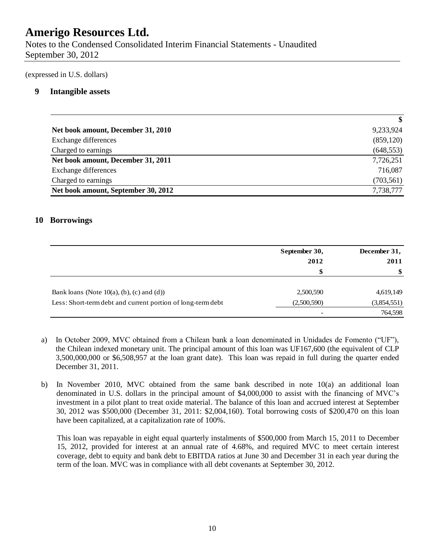Notes to the Condensed Consolidated Interim Financial Statements - Unaudited September 30, 2012

(expressed in U.S. dollars)

### **9 Intangible assets**

|                                     | \$         |
|-------------------------------------|------------|
| Net book amount, December 31, 2010  | 9,233,924  |
| Exchange differences                | (859, 120) |
| Charged to earnings                 | (648, 553) |
| Net book amount, December 31, 2011  | 7,726,251  |
| Exchange differences                | 716,087    |
| Charged to earnings                 | (703, 561) |
| Net book amount, September 30, 2012 | 7,738,777  |

### **10 Borrowings**

|                                                             | September 30,<br>2012    | December 31,<br>2011 |
|-------------------------------------------------------------|--------------------------|----------------------|
|                                                             | \$                       | \$                   |
| Bank loans (Note $10(a)$ , (b), (c) and (d))                | 2,500,590                | 4,619,149            |
| Less: Short-term debt and current portion of long-term debt | (2,500,590)              | (3,854,551)          |
|                                                             | $\overline{\phantom{a}}$ | 764,598              |

a) In October 2009, MVC obtained from a Chilean bank a loan denominated in Unidades de Fomento ("UF"), the Chilean indexed monetary unit. The principal amount of this loan was UF167,600 (the equivalent of CLP 3,500,000,000 or \$6,508,957 at the loan grant date). This loan was repaid in full during the quarter ended December 31, 2011.

b) In November 2010, MVC obtained from the same bank described in note 10(a) an additional loan denominated in U.S. dollars in the principal amount of \$4,000,000 to assist with the financing of MVC's investment in a pilot plant to treat oxide material. The balance of this loan and accrued interest at September 30, 2012 was \$500,000 (December 31, 2011: \$2,004,160). Total borrowing costs of \$200,470 on this loan have been capitalized, at a capitalization rate of 100%.

This loan was repayable in eight equal quarterly instalments of \$500,000 from March 15, 2011 to December 15, 2012, provided for interest at an annual rate of 4.68%, and required MVC to meet certain interest coverage, debt to equity and bank debt to EBITDA ratios at June 30 and December 31 in each year during the term of the loan. MVC was in compliance with all debt covenants at September 30, 2012.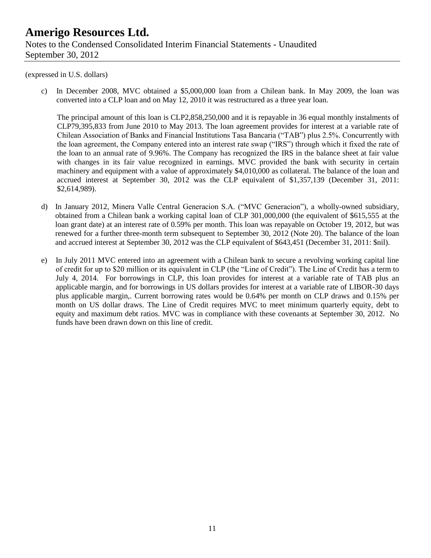#### (expressed in U.S. dollars)

c) In December 2008, MVC obtained a \$5,000,000 loan from a Chilean bank. In May 2009, the loan was converted into a CLP loan and on May 12, 2010 it was restructured as a three year loan.

The principal amount of this loan is CLP2,858,250,000 and it is repayable in 36 equal monthly instalments of CLP79,395,833 from June 2010 to May 2013. The loan agreement provides for interest at a variable rate of Chilean Association of Banks and Financial Institutions Tasa Bancaria ("TAB") plus 2.5%. Concurrently with the loan agreement, the Company entered into an interest rate swap ("IRS") through which it fixed the rate of the loan to an annual rate of 9.96%. The Company has recognized the IRS in the balance sheet at fair value with changes in its fair value recognized in earnings. MVC provided the bank with security in certain machinery and equipment with a value of approximately \$4,010,000 as collateral. The balance of the loan and accrued interest at September 30, 2012 was the CLP equivalent of \$1,357,139 (December 31, 2011: \$2,614,989).

- d) In January 2012, Minera Valle Central Generacion S.A. ("MVC Generacion"), a wholly-owned subsidiary, obtained from a Chilean bank a working capital loan of CLP 301,000,000 (the equivalent of \$615,555 at the loan grant date) at an interest rate of 0.59% per month. This loan was repayable on October 19, 2012, but was renewed for a further three-month term subsequent to September 30, 2012 (Note 20). The balance of the loan and accrued interest at September 30, 2012 was the CLP equivalent of \$643,451 (December 31, 2011: \$nil).
- e) In July 2011 MVC entered into an agreement with a Chilean bank to secure a revolving working capital line of credit for up to \$20 million or its equivalent in CLP (the "Line of Credit"). The Line of Credit has a term to July 4, 2014. For borrowings in CLP, this loan provides for interest at a variable rate of TAB plus an applicable margin, and for borrowings in US dollars provides for interest at a variable rate of LIBOR-30 days plus applicable margin,. Current borrowing rates would be 0.64% per month on CLP draws and 0.15% per month on US dollar draws. The Line of Credit requires MVC to meet minimum quarterly equity, debt to equity and maximum debt ratios. MVC was in compliance with these covenants at September 30, 2012. No funds have been drawn down on this line of credit.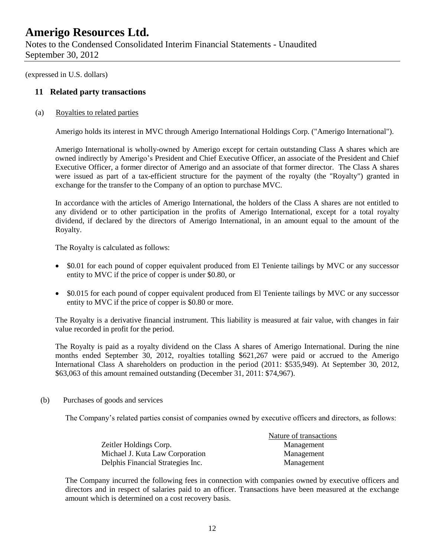Notes to the Condensed Consolidated Interim Financial Statements - Unaudited September 30, 2012

(expressed in U.S. dollars)

### **11 Related party transactions**

(a) Royalties to related parties

Amerigo holds its interest in MVC through Amerigo International Holdings Corp. ("Amerigo International").

Amerigo International is wholly-owned by Amerigo except for certain outstanding Class A shares which are owned indirectly by Amerigo's President and Chief Executive Officer, an associate of the President and Chief Executive Officer, a former director of Amerigo and an associate of that former director. The Class A shares were issued as part of a tax-efficient structure for the payment of the royalty (the "Royalty") granted in exchange for the transfer to the Company of an option to purchase MVC.

In accordance with the articles of Amerigo International, the holders of the Class A shares are not entitled to any dividend or to other participation in the profits of Amerigo International, except for a total royalty dividend, if declared by the directors of Amerigo International, in an amount equal to the amount of the Royalty.

The Royalty is calculated as follows:

- \$0.01 for each pound of copper equivalent produced from El Teniente tailings by MVC or any successor entity to MVC if the price of copper is under \$0.80, or
- \$0.015 for each pound of copper equivalent produced from El Teniente tailings by MVC or any successor entity to MVC if the price of copper is \$0.80 or more.

The Royalty is a derivative financial instrument. This liability is measured at fair value, with changes in fair value recorded in profit for the period.

The Royalty is paid as a royalty dividend on the Class A shares of Amerigo International. During the nine months ended September 30, 2012, royalties totalling \$621,267 were paid or accrued to the Amerigo International Class A shareholders on production in the period (2011: \$535,949). At September 30, 2012, \$63,063 of this amount remained outstanding (December 31, 2011: \$74,967).

(b) Purchases of goods and services

The Company's related parties consist of companies owned by executive officers and directors, as follows:

|                                   | Nature of transactions |
|-----------------------------------|------------------------|
| Zeitler Holdings Corp.            | Management             |
| Michael J. Kuta Law Corporation   | Management             |
| Delphis Financial Strategies Inc. | Management             |

The Company incurred the following fees in connection with companies owned by executive officers and directors and in respect of salaries paid to an officer. Transactions have been measured at the exchange amount which is determined on a cost recovery basis.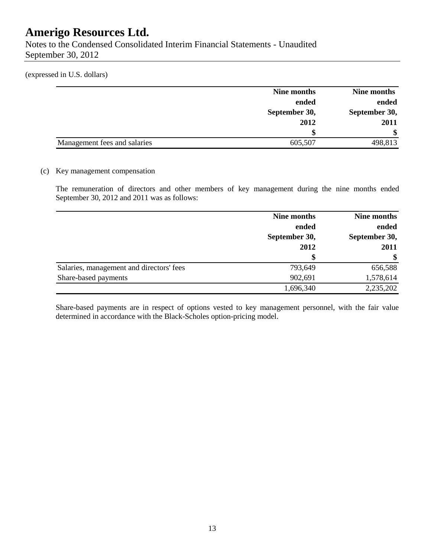Notes to the Condensed Consolidated Interim Financial Statements - Unaudited September 30, 2012

(expressed in U.S. dollars)

|                              | Nine months   | Nine months   |
|------------------------------|---------------|---------------|
|                              | ended         | ended         |
|                              | September 30, | September 30, |
|                              | 2012          | 2011          |
|                              |               | <sup>\$</sup> |
| Management fees and salaries | 605,507       | 498,813       |

### (c) Key management compensation

The remuneration of directors and other members of key management during the nine months ended September 30, 2012 and 2011 was as follows:

|                                          | Nine months   | Nine months   |  |
|------------------------------------------|---------------|---------------|--|
|                                          | ended         | ended         |  |
|                                          | September 30, | September 30, |  |
|                                          | 2012          | 2011          |  |
|                                          | \$            | \$            |  |
| Salaries, management and directors' fees | 793,649       | 656,588       |  |
| Share-based payments                     | 902,691       | 1,578,614     |  |
|                                          | 1,696,340     | 2,235,202     |  |

Share-based payments are in respect of options vested to key management personnel, with the fair value determined in accordance with the Black-Scholes option-pricing model.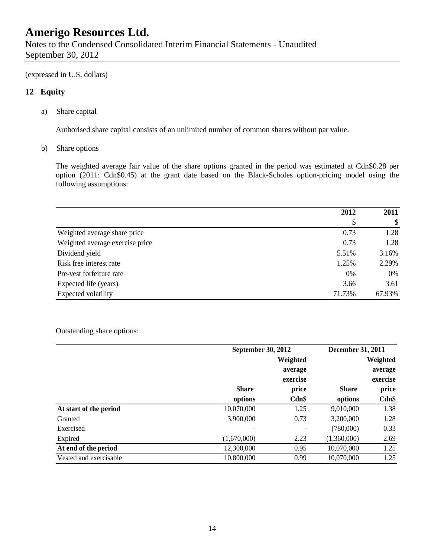Notes to the Condensed Consolidated Interim Financial Statements - Unaudited September 30, 2012

(expressed in U.S. dollars)

### **12 Equity**

a) Share capital

Authorised share capital consists of an unlimited number of common shares without par value.

b) Share options

The weighted average fair value of the share options granted in the period was estimated at Cdn\$0.28 per option (2011: Cdn\$0.45) at the grant date based on the Black-Scholes option-pricing model using the following assumptions:

|                                 | 2012   | 2011   |
|---------------------------------|--------|--------|
|                                 | \$     | \$     |
| Weighted average share price    | 0.73   | 1.28   |
| Weighted average exercise price | 0.73   | 1.28   |
| Dividend yield                  | 5.51%  | 3.16%  |
| Risk free interest rate         | 1.25%  | 2.29%  |
| Pre-vest forfeiture rate        | 0%     | 0%     |
| Expected life (years)           | 3.66   | 3.61   |
| Expected volatility             | 71.73% | 67.93% |

Outstanding share options:

|                        | <b>September 30, 2012</b> |                          | <b>December 31, 2011</b> |          |
|------------------------|---------------------------|--------------------------|--------------------------|----------|
|                        |                           | Weighted                 |                          | Weighted |
|                        |                           | average                  |                          | average  |
|                        |                           | exercise                 |                          | exercise |
|                        | <b>Share</b>              | price                    | <b>Share</b>             | price    |
|                        | options                   | Cdn\$                    | options                  | $Cdn$ \$ |
| At start of the period | 10,070,000                | 1.25                     | 9,010,000                | 1.38     |
| Granted                | 3,900,000                 | 0.73                     | 3,200,000                | 1.28     |
| Exercised              |                           | $\overline{\phantom{0}}$ | (780,000)                | 0.33     |
| Expired                | (1,670,000)               | 2.23                     | (1,360,000)              | 2.69     |
| At end of the period   | 12,300,000                | 0.95                     | 10,070,000               | 1.25     |
| Vested and exercisable | 10,800,000                | 0.99                     | 10,070,000               | 1.25     |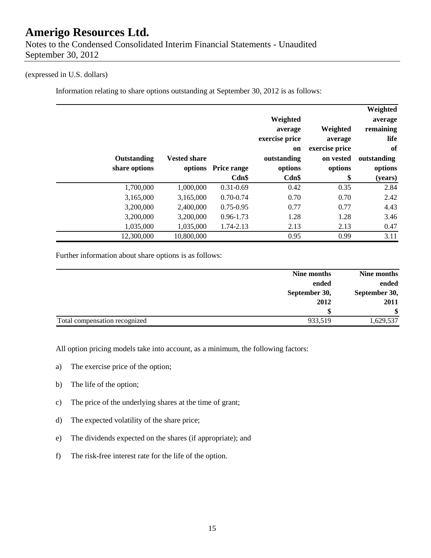### (expressed in U.S. dollars)

Information relating to share options outstanding at September 30, 2012 is as follows:

|               |                     |               | Weighted<br>average | Weighted       | Weighted<br>average<br>remaining |
|---------------|---------------------|---------------|---------------------|----------------|----------------------------------|
|               |                     |               | exercise price      | average        | life                             |
|               |                     |               | on                  | exercise price | of                               |
| Outstanding   | <b>Vested share</b> |               | outstanding         | on vested      | outstanding                      |
| share options | options             | Price range   | options             | options        | options                          |
|               |                     | $Cdn$ \$      | Cdn\$               | \$             | (years)                          |
| 1,700,000     | 1,000,000           | $0.31 - 0.69$ | 0.42                | 0.35           | 2.84                             |
| 3,165,000     | 3,165,000           | $0.70 - 0.74$ | 0.70                | 0.70           | 2.42                             |
| 3,200,000     | 2,400,000           | $0.75 - 0.95$ | 0.77                | 0.77           | 4.43                             |
| 3,200,000     | 3,200,000           | 0.96-1.73     | 1.28                | 1.28           | 3.46                             |
| 1,035,000     | 1,035,000           | 1.74-2.13     | 2.13                | 2.13           | 0.47                             |
| 12,300,000    | 10,800,000          |               | 0.95                | 0.99           | 3.11                             |

Further information about share options is as follows:

|                               | Nine months   | Nine months   |
|-------------------------------|---------------|---------------|
|                               | ended         | ended         |
|                               | September 30, | September 30, |
|                               | 2012          | 2011          |
|                               |               | \$            |
| Total compensation recognized | 933,519       | 1,629,537     |

All option pricing models take into account, as a minimum, the following factors:

- a) The exercise price of the option;
- b) The life of the option;
- c) The price of the underlying shares at the time of grant;
- d) The expected volatility of the share price;
- e) The dividends expected on the shares (if appropriate); and
- f) The risk-free interest rate for the life of the option.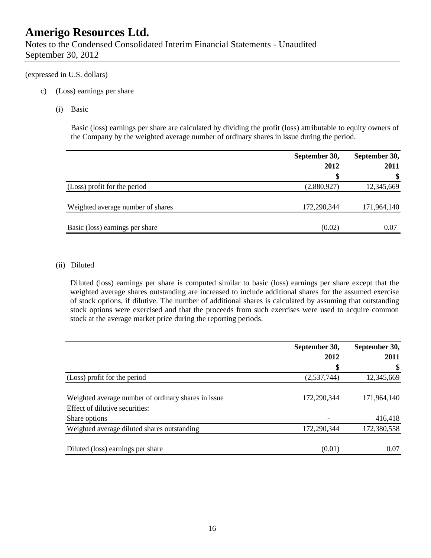Notes to the Condensed Consolidated Interim Financial Statements - Unaudited September 30, 2012

### (expressed in U.S. dollars)

- c) (Loss) earnings per share
	- (i) Basic

Basic (loss) earnings per share are calculated by dividing the profit (loss) attributable to equity owners of the Company by the weighted average number of ordinary shares in issue during the period.

|                                   | September 30, | September 30, |  |
|-----------------------------------|---------------|---------------|--|
|                                   | 2012          | 2011          |  |
|                                   | \$            | \$            |  |
| (Loss) profit for the period      | (2,880,927)   | 12,345,669    |  |
| Weighted average number of shares | 172,290,344   | 171,964,140   |  |
| Basic (loss) earnings per share   | (0.02)        | 0.07          |  |

### (ii) Diluted

Diluted (loss) earnings per share is computed similar to basic (loss) earnings per share except that the weighted average shares outstanding are increased to include additional shares for the assumed exercise of stock options, if dilutive. The number of additional shares is calculated by assuming that outstanding stock options were exercised and that the proceeds from such exercises were used to acquire common stock at the average market price during the reporting periods.

|                                                     | September 30, | September 30, |
|-----------------------------------------------------|---------------|---------------|
|                                                     | 2012          | 2011          |
|                                                     | \$            | \$            |
| (Loss) profit for the period                        | (2,537,744)   | 12,345,669    |
|                                                     |               |               |
| Weighted average number of ordinary shares in issue | 172,290,344   | 171,964,140   |
| Effect of dilutive securities:                      |               |               |
| Share options                                       |               | 416,418       |
| Weighted average diluted shares outstanding         | 172,290,344   | 172,380,558   |
|                                                     | (0.01)        | 0.07          |
| Diluted (loss) earnings per share                   |               |               |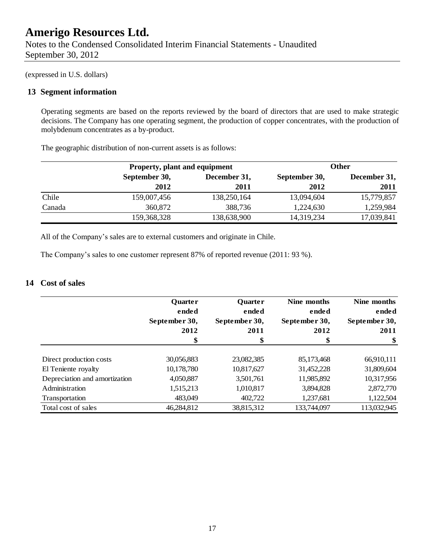(expressed in U.S. dollars)

### **13 Segment information**

Operating segments are based on the reports reviewed by the board of directors that are used to make strategic decisions. The Company has one operating segment, the production of copper concentrates, with the production of molybdenum concentrates as a by-product.

The geographic distribution of non-current assets is as follows:

|        | Property, plant and equipment |                               | <b>Other</b> |            |  |              |
|--------|-------------------------------|-------------------------------|--------------|------------|--|--------------|
|        | September 30,                 | December 31,<br>September 30, |              |            |  | December 31, |
|        | 2012                          | 2011                          | 2012         | 2011       |  |              |
| Chile  | 159,007,456                   | 138,250,164                   | 13,094,604   | 15,779,857 |  |              |
| Canada | 360,872                       | 388,736                       | 1,224,630    | 1,259,984  |  |              |
|        | 159,368,328                   | 138,638,900                   | 14,319,234   | 17,039,841 |  |              |

All of the Company's sales are to external customers and originate in Chile.

The Company's sales to one customer represent 87% of reported revenue (2011: 93 %).

### **14 Cost of sales**

|                               | <b>Quarter</b><br>ended | <b>Quarter</b><br>ended | Nine months<br>ended | Nine months<br>ended |
|-------------------------------|-------------------------|-------------------------|----------------------|----------------------|
|                               | September 30,           | September 30,           | September 30,        | September 30,        |
|                               | 2012                    | 2011                    | 2012                 | 2011                 |
|                               | \$                      | \$                      | \$                   | \$                   |
| Direct production costs       | 30,056,883              | 23,082,385              | 85,173,468           | 66,910,111           |
| El Teniente royalty           | 10,178,780              | 10,817,627              | 31,452,228           | 31,809,604           |
| Depreciation and amortization | 4,050,887               | 3,501,761               | 11,985,892           | 10,317,956           |
| Administration                | 1,515,213               | 1,010,817               | 3,894,828            | 2,872,770            |
| Transportation                | 483,049                 | 402,722                 | 1,237,681            | 1,122,504            |
| Total cost of sales           | 46,284,812              | 38,815,312              | 133,744,097          | 113,032,945          |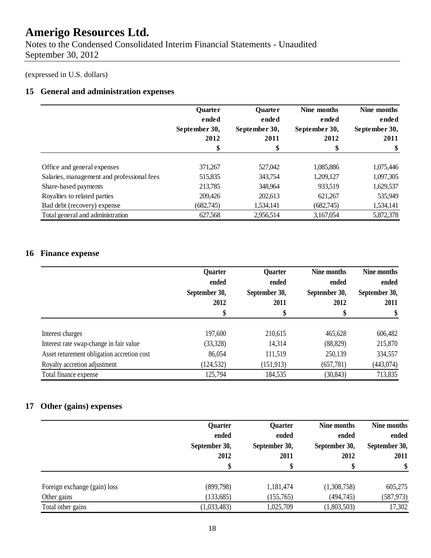Notes to the Condensed Consolidated Interim Financial Statements - Unaudited September 30, 2012

(expressed in U.S. dollars)

## **15 General and administration expenses**

|                                            | <b>Ouarter</b><br>ended | <b>Quarter</b><br>ended |                        | Nine months<br>ended |
|--------------------------------------------|-------------------------|-------------------------|------------------------|----------------------|
|                                            | September 30,           | September 30,           | ended<br>September 30, | September 30,        |
|                                            | 2012                    | 2011                    | 2012                   | 2011                 |
|                                            | \$                      | \$                      | \$                     | \$                   |
| Office and general expenses                | 371,267                 | 527,042                 | 1,085,886              | 1,075,446            |
| Salaries, management and professional fees | 515,835                 | 343,754                 | 1,209,127              | 1,097,305            |
| Share-based payments                       | 213,785                 | 348,964                 | 933,519                | 1,629,537            |
| Royalties to related parties               | 209,426                 | 202,613                 | 621,267                | 535,949              |
| Bad debt (recovery) expense                | (682,745)               | 1,534,141               | (682,745)              | 1,534,141            |
| Total general and administration           | 627,568                 | 2,956,514               | 3,167,054              | 5,872,378            |

## **16 Finance expense**

|                                            | <b>Quarter</b><br>ended<br>September 30,<br>2012<br>\$ | <b>Quarter</b><br>ended<br>September 30,<br>2011<br>\$ | Nine months<br>ended<br>September 30,<br>2012<br>\$ | Nine months<br>ended<br>September 30,<br>2011 |
|--------------------------------------------|--------------------------------------------------------|--------------------------------------------------------|-----------------------------------------------------|-----------------------------------------------|
| Interest charges                           | 197,600                                                | 210,615                                                | 465,628                                             | 606,482                                       |
| Interest rate swap-change in fair value    | (33,328)                                               | 14,314                                                 | (88, 829)                                           | 215,870                                       |
| Asset returement obligation accretion cost | 86,054                                                 | 111,519                                                | 250,139                                             | 334,557                                       |
| Royalty accretion adjustment               | (124, 532)                                             | (151, 913)                                             | (657, 781)                                          | (443, 074)                                    |
| Total finance expense                      | 125,794                                                | 184,535                                                | (30, 843)                                           | 713,835                                       |

## **17 Other (gains) expenses**

|                              | Quarter<br>ended<br>September 30,<br>2012<br>\$ | Quarter<br>ended<br>September 30,<br>2011 | Nine months<br>ended<br>September 30,<br>2012 | Nine months<br>ended<br>September 30,<br>2011<br>\$ |
|------------------------------|-------------------------------------------------|-------------------------------------------|-----------------------------------------------|-----------------------------------------------------|
| Foreign exchange (gain) loss | (899,798)                                       | 1,181,474                                 | (1,308,758)                                   | 605,275                                             |
| Other gains                  | (133, 685)                                      | (155,765)                                 | (494,745)                                     | (587, 973)                                          |
| Total other gains            | (1,033,483)                                     | 1,025,709                                 | (1,803,503)                                   | 17,302                                              |